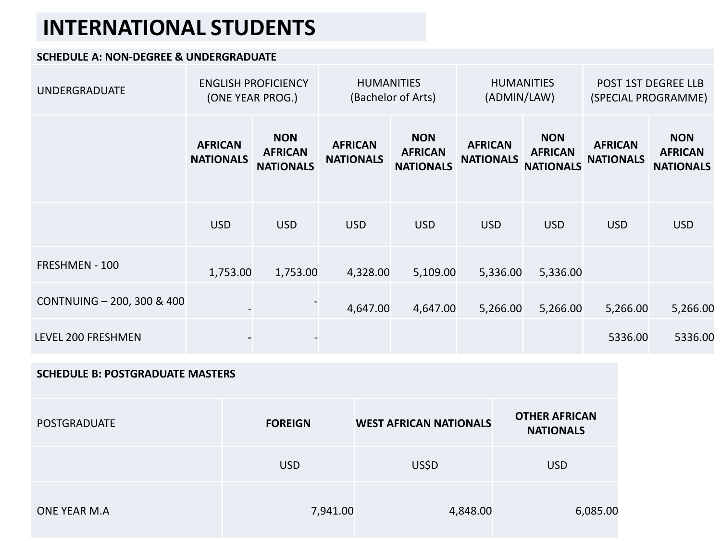## **INTERNATIONAL STUDENTS**

## **SCHEDULE A: NON-DEGREE & UNDERGRADUATE**

| <b>UNDERGRADUATE</b>       | <b>ENGLISH PROFICIENCY</b><br>(ONE YEAR PROG.) |                                                  | <b>HUMANITIES</b><br>(Bachelor of Arts) |                                                  | <b>HUMANITIES</b><br>(ADMIN/LAW)   |                                                  | POST 1ST DEGREE LLB<br>(SPECIAL PROGRAMME) |                                                  |
|----------------------------|------------------------------------------------|--------------------------------------------------|-----------------------------------------|--------------------------------------------------|------------------------------------|--------------------------------------------------|--------------------------------------------|--------------------------------------------------|
|                            | <b>AFRICAN</b><br><b>NATIONALS</b>             | <b>NON</b><br><b>AFRICAN</b><br><b>NATIONALS</b> | <b>AFRICAN</b><br><b>NATIONALS</b>      | <b>NON</b><br><b>AFRICAN</b><br><b>NATIONALS</b> | <b>AFRICAN</b><br><b>NATIONALS</b> | <b>NON</b><br><b>AFRICAN</b><br><b>NATIONALS</b> | <b>AFRICAN</b><br><b>NATIONALS</b>         | <b>NON</b><br><b>AFRICAN</b><br><b>NATIONALS</b> |
|                            | <b>USD</b>                                     | <b>USD</b>                                       | <b>USD</b>                              | <b>USD</b>                                       | <b>USD</b>                         | <b>USD</b>                                       | <b>USD</b>                                 | <b>USD</b>                                       |
| FRESHMEN - 100             | 1,753.00                                       | 1,753.00                                         | 4,328.00                                | 5,109.00                                         | 5,336.00                           | 5,336.00                                         |                                            |                                                  |
| CONTNUING - 200, 300 & 400 |                                                |                                                  | 4,647.00                                | 4,647.00                                         | 5,266.00                           | 5,266.00                                         | 5,266.00                                   | 5,266.00                                         |
| LEVEL 200 FRESHMEN         |                                                |                                                  |                                         |                                                  |                                    |                                                  | 5336.00                                    | 5336.00                                          |

## **SCHEDULE B: POSTGRADUATE MASTERS**

| <b>POSTGRADUATE</b> | <b>FOREIGN</b> | <b>WEST AFRICAN NATIONALS</b> | <b>OTHER AFRICAN</b><br><b>NATIONALS</b> |  |
|---------------------|----------------|-------------------------------|------------------------------------------|--|
|                     | <b>USD</b>     | US\$D                         | <b>USD</b>                               |  |
| ONE YEAR M.A        | 7,941.00       | 4,848.00                      | 6,085.00                                 |  |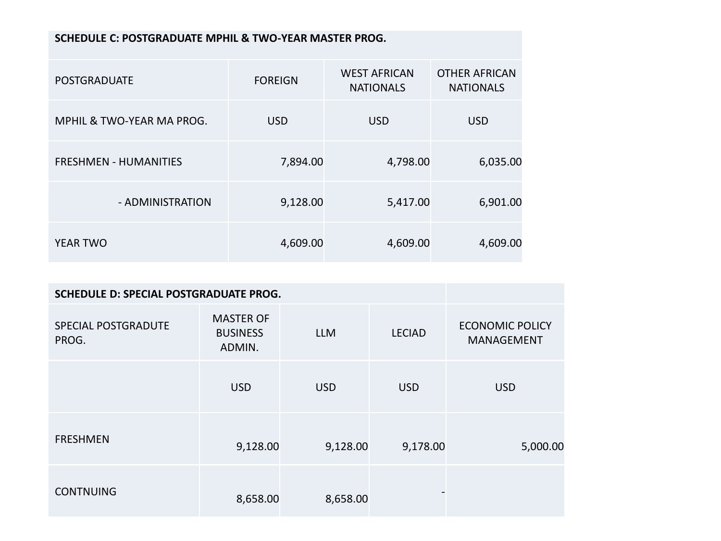## **SCHEDULE C: POSTGRADUATE MPHIL & TWO-YEAR MASTER PROG.**

| <b>POSTGRADUATE</b>          | <b>FOREIGN</b> | <b>WEST AFRICAN</b><br><b>NATIONALS</b> | <b>OTHER AFRICAN</b><br><b>NATIONALS</b> |  |
|------------------------------|----------------|-----------------------------------------|------------------------------------------|--|
| MPHIL & TWO-YEAR MA PROG.    | <b>USD</b>     | <b>USD</b>                              | <b>USD</b>                               |  |
| <b>FRESHMEN - HUMANITIES</b> | 7,894.00       | 4,798.00                                | 6,035.00                                 |  |
| - ADMINISTRATION             | 9,128.00       | 5,417.00                                | 6,901.00                                 |  |
| <b>YEAR TWO</b>              | 4,609.00       | 4,609.00                                | 4,609.00                                 |  |

| SCHEDULE D: SPECIAL POSTGRADUATE PROG. |                                               |            |               |                                      |
|----------------------------------------|-----------------------------------------------|------------|---------------|--------------------------------------|
| SPECIAL POSTGRADUTE<br>PROG.           | <b>MASTER OF</b><br><b>BUSINESS</b><br>ADMIN. | <b>LLM</b> | <b>LECIAD</b> | <b>ECONOMIC POLICY</b><br>MANAGEMENT |
|                                        | <b>USD</b>                                    | <b>USD</b> | <b>USD</b>    | <b>USD</b>                           |
| <b>FRESHMEN</b>                        | 9,128.00                                      | 9,128.00   | 9,178.00      | 5,000.00                             |
| <b>CONTNUING</b>                       | 8,658.00                                      | 8,658.00   |               |                                      |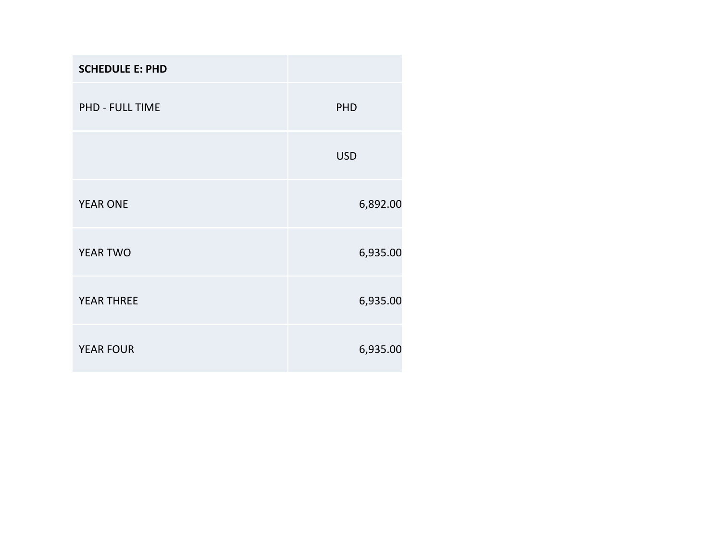| <b>SCHEDULE E: PHD</b> |            |
|------------------------|------------|
| PHD - FULL TIME        | PHD        |
|                        | <b>USD</b> |
| <b>YEAR ONE</b>        | 6,892.00   |
| YEAR TWO               | 6,935.00   |
| <b>YEAR THREE</b>      | 6,935.00   |
| <b>YEAR FOUR</b>       | 6,935.00   |